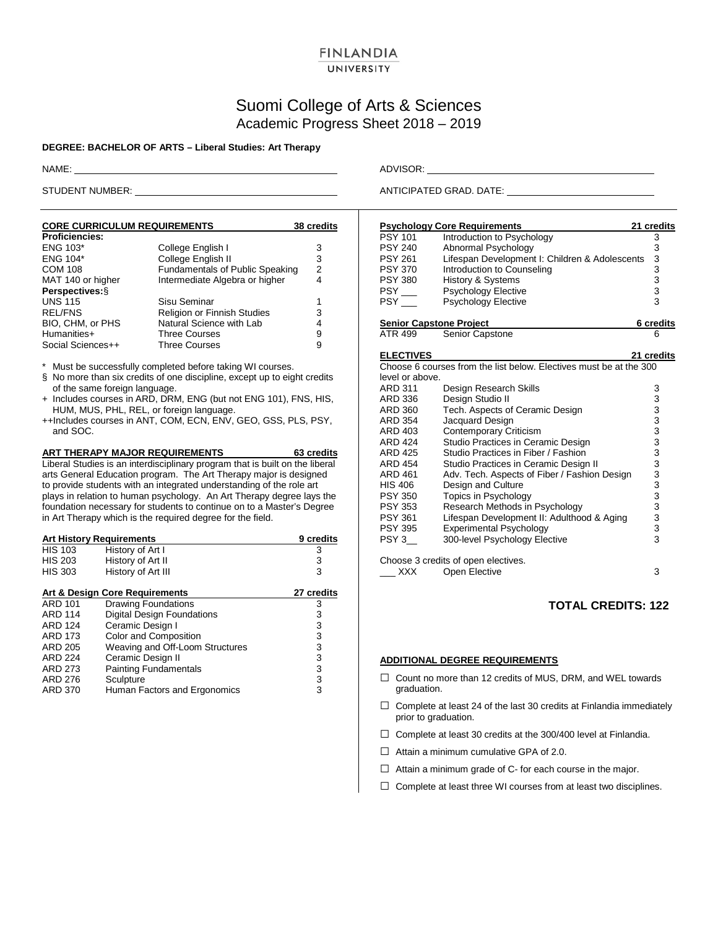### **FINLANDIA** UNIVERSITY

# Suomi College of Arts & Sciences Academic Progress Sheet 2018 – 2019

#### **DEGREE: BACHELOR OF ARTS – Liberal Studies: Art Therapy**

| <b>CORE CURRICULUM REQUIREMENTS</b> | 38 credits                             |   |
|-------------------------------------|----------------------------------------|---|
| <b>Proficiencies:</b>               |                                        |   |
| <b>ENG 103*</b>                     | College English I                      | 3 |
| ENG 104*                            | College English II                     | 3 |
| <b>COM 108</b>                      | <b>Fundamentals of Public Speaking</b> | 2 |
| MAT 140 or higher                   | Intermediate Algebra or higher         | 4 |
| Perspectives: §                     |                                        |   |
| <b>UNS 115</b>                      | Sisu Seminar                           |   |
| <b>REL/FNS</b>                      | <b>Religion or Finnish Studies</b>     | 3 |
| BIO, CHM, or PHS                    | Natural Science with Lab               | 4 |
| Humanities+                         | <b>Three Courses</b>                   | 9 |
| Social Sciences++                   | <b>Three Courses</b>                   | 9 |

\* Must be successfully completed before taking WI courses.

- § No more than six credits of one discipline, except up to eight credits of the same foreign language.
- + Includes courses in ARD, DRM, ENG (but not ENG 101), FNS, HIS, HUM, MUS, PHL, REL, or foreign language.
- ++Includes courses in ANT, COM, ECN, ENV, GEO, GSS, PLS, PSY, and SOC.

**ART THERAPY MAJOR REQUIREMENTS 63 credits** Liberal Studies is an interdisciplinary program that is built on the liberal arts General Education program. The Art Therapy major is designed to provide students with an integrated understanding of the role art plays in relation to human psychology. An Art Therapy degree lays the foundation necessary for students to continue on to a Master's Degree in Art Therapy which is the required degree for the field.

| <b>Art History Requirements</b> | 9 credits                       |   |
|---------------------------------|---------------------------------|---|
| <b>HIS 103</b>                  | History of Art I                | 3 |
| <b>HIS 203</b>                  | History of Art II               | 3 |
| <b>HIS 303</b>                  | History of Art III              | 3 |
| Art & Design Core Requirements  | 27 credits                      |   |
| <b>ARD 101</b>                  | <b>Drawing Foundations</b>      | 3 |
| <b>ARD 114</b>                  | Digital Design Foundations      | 3 |
| <b>ARD 124</b>                  | Ceramic Design I                | 3 |
| <b>ARD 173</b>                  | Color and Composition           | 3 |
| <b>ARD 205</b>                  | Weaving and Off-Loom Structures | 3 |
| <b>ARD 224</b>                  | Ceramic Design II               | 3 |
| ARD 273                         | <b>Painting Fundamentals</b>    | 3 |
| ARD 276                         | Sculpture                       | 3 |
| ARD 370                         | Human Factors and Ergonomics    | 3 |

NAME: ADVISOR:

STUDENT NUMBER: ANTICIPATED GRAD. DATE: ANTICIPATED GRAD. DATE:

|                                | <b>Psychology Core Requirements</b>                                | 21 credits                                          |
|--------------------------------|--------------------------------------------------------------------|-----------------------------------------------------|
| <b>PSY 101</b>                 | Introduction to Psychology                                         | 3                                                   |
| <b>PSY 240</b>                 | Abnormal Psychology                                                |                                                     |
| <b>PSY 261</b>                 | Lifespan Development I: Children & Adolescents                     |                                                     |
| <b>PSY 370</b>                 | Introduction to Counseling                                         |                                                     |
| <b>PSY 380</b>                 | History & Systems                                                  |                                                     |
| $PSY$ <sub>---</sub>           | Psychology Elective                                                | $\begin{array}{c}\n 3 \\ 3 \\ 3 \\ 3\n \end{array}$ |
| <b>PSY</b>                     | <b>Psychology Elective</b>                                         |                                                     |
| <b>Senior Capstone Project</b> |                                                                    | 6 credits                                           |
| ATR 499                        | Senior Capstone                                                    | 6                                                   |
| <b>ELECTIVES</b>               |                                                                    | 21 credits                                          |
|                                | Choose 6 courses from the list below. Electives must be at the 300 |                                                     |
| level or above.                |                                                                    |                                                     |
| ARD 311                        | Design Research Skills                                             | 3                                                   |
| ARD 336                        | Design Studio II                                                   |                                                     |
| ARD 360                        | Tech. Aspects of Ceramic Design                                    |                                                     |
| <b>ARD 354</b>                 | Jacquard Design                                                    |                                                     |
| ARD 403                        | Contemporary Criticism                                             |                                                     |
| <b>ARD 424</b>                 | Studio Practices in Ceramic Design                                 |                                                     |
| <b>ARD 425</b>                 | Studio Practices in Fiber / Fashion                                |                                                     |
| <b>ARD 454</b>                 | Studio Practices in Ceramic Design II                              |                                                     |
| ARD 461                        | Adv. Tech. Aspects of Fiber / Fashion Design                       |                                                     |
| HIS 406                        | Design and Culture                                                 |                                                     |
| <b>PSY 350</b>                 | Topics in Psychology                                               |                                                     |
| <b>PSY 353</b>                 | Research Methods in Psychology                                     |                                                     |
| <b>PSY 361</b>                 | Lifespan Development II: Adulthood & Aging                         |                                                     |
| <b>PSY 395</b>                 | <b>Experimental Psychology</b>                                     |                                                     |
| PSY 3                          | 300-level Psychology Elective                                      |                                                     |
|                                | Choose 3 credits of open electives.                                |                                                     |
| XXX                            | Open Elective                                                      | 3                                                   |

### **TOTAL CREDITS: 122**

#### **ADDITIONAL DEGREE REQUIREMENTS**

- □ Count no more than 12 credits of MUS, DRM, and WEL towards graduation.
- $\Box$  Complete at least 24 of the last 30 credits at Finlandia immediately prior to graduation.
- $\Box$  Complete at least 30 credits at the 300/400 level at Finlandia.
- $\Box$  Attain a minimum cumulative GPA of 2.0.
- $\Box$  Attain a minimum grade of C- for each course in the major.
- $\Box$  Complete at least three WI courses from at least two disciplines.